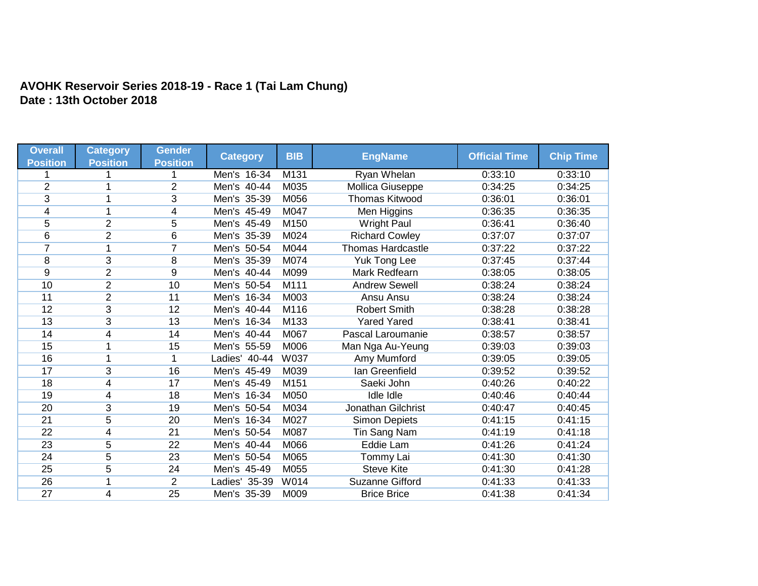## **AVOHK Reservoir Series 2018-19 - Race 1 (Tai Lam Chung) Date : 13th October 2018**

| <b>Overall</b>  | <b>Category</b> | <b>Gender</b>   |                 | <b>BIB</b> | <b>EngName</b>            | <b>Official Time</b> | <b>Chip Time</b> |
|-----------------|-----------------|-----------------|-----------------|------------|---------------------------|----------------------|------------------|
| <b>Position</b> | <b>Position</b> | <b>Position</b> | <b>Category</b> |            |                           |                      |                  |
|                 |                 |                 | Men's 16-34     | M131       | Ryan Whelan               | 0:33:10              | 0:33:10          |
| $\overline{2}$  |                 | $\overline{2}$  | Men's 40-44     | M035       | <b>Mollica Giuseppe</b>   | 0:34:25              | 0:34:25          |
| 3               |                 | 3               | Men's 35-39     | M056       | <b>Thomas Kitwood</b>     | 0:36:01              | 0:36:01          |
| 4               | 1               | 4               | Men's 45-49     | M047       | Men Higgins               | 0:36:35              | 0:36:35          |
| $\overline{5}$  | $\overline{2}$  | $\overline{5}$  | Men's 45-49     | M150       | <b>Wright Paul</b>        | 0:36:41              | 0:36:40          |
| 6               | $\overline{2}$  | 6               | Men's 35-39     | M024       | <b>Richard Cowley</b>     | 0:37:07              | 0:37:07          |
| $\overline{7}$  | 1               | $\overline{7}$  | Men's 50-54     | M044       | <b>Thomas Hardcastle</b>  | 0:37:22              | 0:37:22          |
| 8               | 3               | 8               | Men's 35-39     | M074       | Yuk Tong Lee              | 0:37:45              | 0:37:44          |
| 9               | $\overline{2}$  | 9               | Men's 40-44     | M099       | Mark Redfearn             | 0:38:05              | 0:38:05          |
| 10              | $\overline{2}$  | 10              | Men's 50-54     | M111       | <b>Andrew Sewell</b>      | 0:38:24              | 0:38:24          |
| 11              | $\overline{2}$  | 11              | Men's 16-34     | M003       | Ansu Ansu                 | 0:38:24              | 0:38:24          |
| 12              | $\overline{3}$  | 12              | Men's 40-44     | M116       | <b>Robert Smith</b>       | 0:38:28              | 0:38:28          |
| 13              | 3               | 13              | Men's 16-34     | M133       | <b>Yared Yared</b>        | 0:38:41              | 0:38:41          |
| 14              | 4               | 14              | Men's 40-44     | M067       | Pascal Laroumanie         | 0:38:57              | 0:38:57          |
| 15              | 1               | 15              | Men's 55-59     | M006       | Man Nga Au-Yeung          | 0:39:03              | 0:39:03          |
| 16              |                 |                 | Ladies' 40-44   | W037       | Amy Mumford               | 0:39:05              | 0:39:05          |
| 17              | 3               | 16              | Men's 45-49     | M039       | lan Greenfield            | 0:39:52              | 0:39:52          |
| 18              | 4               | 17              | Men's 45-49     | M151       | Saeki John                | 0:40:26              | 0:40:22          |
| 19              | 4               | 18              | Men's 16-34     | M050       | <b>Idle Idle</b>          | 0:40:46              | 0:40:44          |
| 20              | 3               | 19              | Men's 50-54     | M034       | <b>Jonathan Gilchrist</b> | 0:40:47              | 0:40:45          |
| 21              | 5               | 20              | Men's 16-34     | M027       | <b>Simon Depiets</b>      | 0:41:15              | 0:41:15          |
| $\overline{22}$ | 4               | $\overline{21}$ | Men's 50-54     | M087       | Tin Sang Nam              | 0:41:19              | 0:41:18          |
| 23              | 5               | 22              | Men's 40-44     | M066       | Eddie Lam                 | 0:41:26              | 0:41:24          |
| $\overline{24}$ | $\overline{5}$  | 23              | Men's 50-54     | M065       | Tommy Lai                 | 0:41:30              | 0:41:30          |
| 25              | 5               | 24              | Men's 45-49     | M055       | <b>Steve Kite</b>         | 0:41:30              | 0:41:28          |
| 26              |                 | $\overline{2}$  | Ladies' 35-39   | W014       | <b>Suzanne Gifford</b>    | 0:41:33              | 0:41:33          |
| 27              | 4               | 25              | Men's 35-39     | M009       | <b>Brice Brice</b>        | 0:41:38              | 0:41:34          |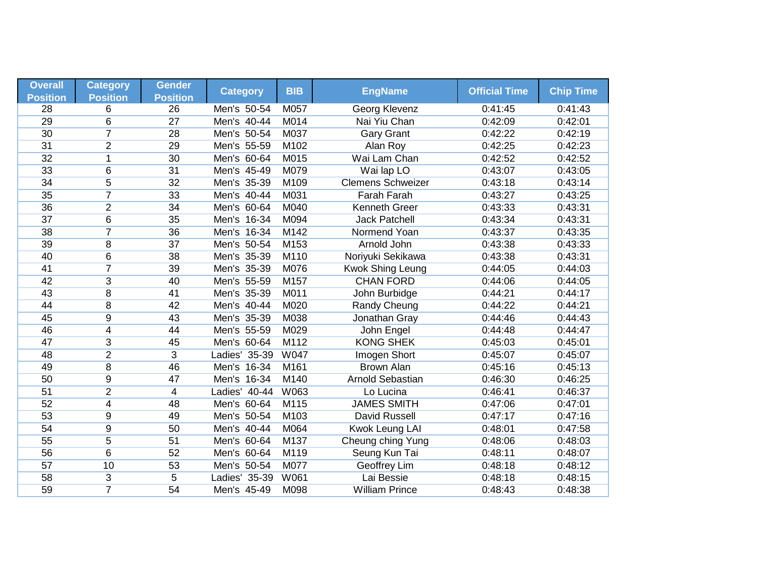| <b>Overall</b>  | <b>Category</b> | <b>Gender</b>   | <b>Category</b> | <b>BIB</b>  | <b>EngName</b>           | <b>Official Time</b> | <b>Chip Time</b> |
|-----------------|-----------------|-----------------|-----------------|-------------|--------------------------|----------------------|------------------|
| <b>Position</b> | <b>Position</b> | <b>Position</b> |                 |             |                          |                      |                  |
| 28              | 6               | 26              | Men's 50-54     | M057        | Georg Klevenz            | 0:41:45              | 0:41:43          |
| 29              | 6               | $\overline{27}$ | Men's 40-44     | M014        | Nai Yiu Chan             | 0:42:09              | 0:42:01          |
| 30              | $\overline{7}$  | 28              | Men's 50-54     | M037        | <b>Gary Grant</b>        | 0:42:22              | 0:42:19          |
| $\overline{31}$ | $\overline{2}$  | 29              | Men's 55-59     | M102        | Alan Roy                 | 0:42:25              | 0:42:23          |
| 32              | 1               | 30              | Men's 60-64     | M015        | Wai Lam Chan             | 0:42:52              | 0:42:52          |
| 33              | 6               | 31              | Men's 45-49     | M079        | Wai lap LO               | 0:43:07              | 0:43:05          |
| 34              | $\overline{5}$  | 32              | Men's 35-39     | M109        | <b>Clemens Schweizer</b> | 0:43:18              | 0:43:14          |
| 35              | $\overline{7}$  | 33              | Men's 40-44     | M031        | <b>Farah Farah</b>       | 0:43:27              | 0:43:25          |
| 36              | $\overline{2}$  | 34              | Men's 60-64     | M040        | Kenneth Greer            | 0:43:33              | 0:43:31          |
| $\overline{37}$ | 6               | 35              | Men's 16-34     | M094        | <b>Jack Patchell</b>     | 0:43:34              | 0:43:31          |
| 38              | $\overline{7}$  | 36              | Men's 16-34     | M142        | Normend Yoan             | 0:43:37              | 0:43:35          |
| 39              | 8               | 37              | Men's 50-54     | M153        | Arnold John              | 0:43:38              | 0:43:33          |
| 40              | 6               | 38              | Men's 35-39     | M110        | Noriyuki Sekikawa        | 0:43:38              | 0:43:31          |
| 41              | 7               | 39              | Men's 35-39     | M076        | <b>Kwok Shing Leung</b>  | 0:44:05              | 0:44:03          |
| 42              | $\overline{3}$  | 40              | Men's 55-59     | M157        | <b>CHAN FORD</b>         | 0:44:06              | 0:44:05          |
| 43              | $\overline{8}$  | 41              | Men's 35-39     | M011        | John Burbidge            | 0:44:21              | 0:44:17          |
| 44              | 8               | 42              | Men's 40-44     | M020        | Randy Cheung             | 0:44:22              | 0:44:21          |
| 45              | 9               | 43              | Men's 35-39     | M038        | Jonathan Gray            | 0:44:46              | 0:44:43          |
| 46              | 4               | 44              | Men's 55-59     | M029        | John Engel               | 0:44:48              | 0:44:47          |
| 47              | 3               | 45              | Men's 60-64     | M112        | <b>KONG SHEK</b>         | 0:45:03              | 0:45:01          |
| 48              | $\overline{2}$  | 3               | Ladies' 35-39   | W047        | Imogen Short             | 0:45:07              | 0:45:07          |
| 49              | 8               | 46              | Men's 16-34     | M161        | <b>Brown Alan</b>        | 0:45:16              | 0:45:13          |
| 50              | $\overline{9}$  | 47              | Men's 16-34     | M140        | <b>Arnold Sebastian</b>  | 0:46:30              | 0:46:25          |
| 51              | $\overline{2}$  | 4               | Ladies' 40-44   | W063        | Lo Lucina                | 0:46:41              | 0:46:37          |
| 52              | 4               | 48              | Men's 60-64     | M115        | <b>JAMES SMITH</b>       | 0:47:06              | 0:47:01          |
| 53              | 9               | 49              | Men's 50-54     | M103        | David Russell            | 0:47:17              | 0:47:16          |
| 54              | 9               | 50              | Men's 40-44     | M064        | Kwok Leung LAI           | 0:48:01              | 0:47:58          |
| 55              | $\overline{5}$  | 51              | Men's 60-64     | M137        | Cheung ching Yung        | 0:48:06              | 0:48:03          |
| 56              | 6               | 52              | Men's 60-64     | M119        | Seung Kun Tai            | 0:48:11              | 0:48:07          |
| 57              | 10              | 53              | Men's 50-54     | <b>M077</b> | Geoffrey Lim             | 0:48:18              | 0:48:12          |
| 58              | $\overline{3}$  | 5               | Ladies' 35-39   | W061        | Lai Bessie               | 0:48:18              | 0:48:15          |
| 59              | $\overline{7}$  | 54              | Men's 45-49     | M098        | <b>William Prince</b>    | 0:48:43              | 0:48:38          |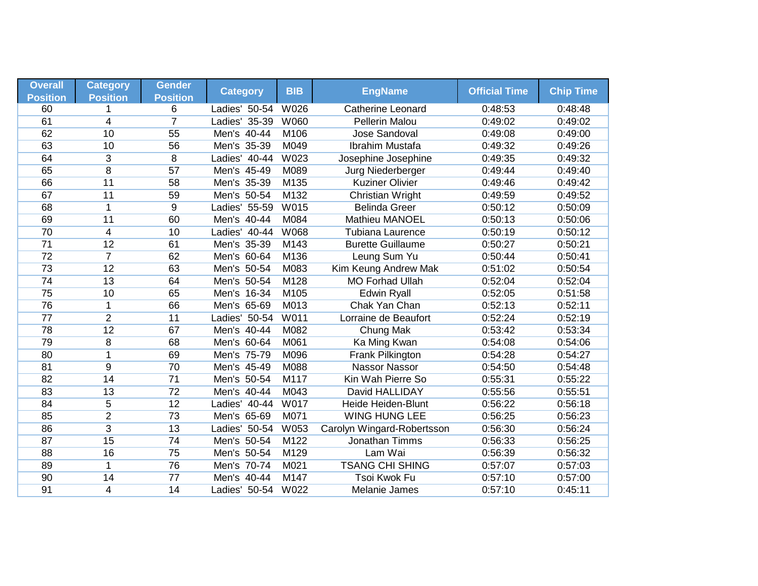| <b>Overall</b>        | <b>Category</b>      | <b>Gender</b>        | <b>Category</b> | <b>BIB</b>  | <b>EngName</b>             | <b>Official Time</b> | <b>Chip Time</b> |
|-----------------------|----------------------|----------------------|-----------------|-------------|----------------------------|----------------------|------------------|
| <b>Position</b><br>60 | <b>Position</b><br>1 | <b>Position</b><br>6 | Ladies' 50-54   | W026        | <b>Catherine Leonard</b>   | 0:48:53              | 0:48:48          |
| 61                    | $\overline{4}$       | 7                    | Ladies' 35-39   | <b>W060</b> | <b>Pellerin Malou</b>      | 0:49:02              | 0:49:02          |
| 62                    | 10                   | 55                   | Men's 40-44     | M106        | Jose Sandoval              | 0:49:08              | 0:49:00          |
| 63                    | 10                   | 56                   | Men's 35-39     | M049        | Ibrahim Mustafa            | 0:49:32              | 0:49:26          |
| 64                    |                      |                      |                 | W023        |                            | 0:49:35              |                  |
| 65                    | 3<br>$\overline{8}$  | 8<br>57              | Ladies' 40-44   | M089        | Josephine Josephine        |                      | 0:49:32          |
|                       |                      |                      | Men's 45-49     |             | Jurg Niederberger          | 0:49:44              | 0:49:40          |
| 66                    | 11                   | 58                   | Men's 35-39     | M135        | <b>Kuziner Olivier</b>     | 0:49:46              | 0:49:42          |
| 67                    | 11                   | 59                   | Men's 50-54     | M132        | Christian Wright           | 0:49:59              | 0:49:52          |
| 68                    | $\mathbf{1}$         | 9                    | Ladies' 55-59   | W015        | <b>Belinda Greer</b>       | 0:50:12              | 0:50:09          |
| 69                    | 11                   | 60                   | Men's 40-44     | M084        | <b>Mathieu MANOEL</b>      | 0:50:13              | 0:50:06          |
| 70                    | $\overline{4}$       | 10                   | Ladies' 40-44   | <b>W068</b> | <b>Tubiana Laurence</b>    | 0:50:19              | 0:50:12          |
| $\overline{71}$       | 12                   | 61                   | Men's 35-39     | M143        | <b>Burette Guillaume</b>   | 0:50:27              | 0:50:21          |
| 72                    | $\overline{7}$       | 62                   | Men's 60-64     | M136        | Leung Sum Yu               | 0:50:44              | 0:50:41          |
| 73                    | 12                   | 63                   | Men's 50-54     | M083        | Kim Keung Andrew Mak       | 0:51:02              | 0:50:54          |
| 74                    | 13                   | 64                   | Men's 50-54     | M128        | <b>MO Forhad Ullah</b>     | 0:52:04              | 0:52:04          |
| 75                    | 10                   | 65                   | Men's 16-34     | M105        | <b>Edwin Ryall</b>         | 0:52:05              | 0:51:58          |
| 76                    | $\mathbf 1$          | 66                   | Men's 65-69     | M013        | Chak Yan Chan              | 0:52:13              | 0:52:11          |
| $\overline{77}$       | $\overline{2}$       | 11                   | Ladies' 50-54   | <b>W011</b> | Lorraine de Beaufort       | 0:52:24              | 0:52:19          |
| 78                    | 12                   | 67                   | Men's 40-44     | M082        | Chung Mak                  | 0:53:42              | 0:53:34          |
| 79                    | 8                    | 68                   | Men's 60-64     | M061        | Ka Ming Kwan               | 0:54:08              | 0:54:06          |
| 80                    | 1                    | 69                   | Men's 75-79     | M096        | Frank Pilkington           | 0:54:28              | 0:54:27          |
| 81                    | $\overline{9}$       | 70                   | Men's 45-49     | M088        | <b>Nassor Nassor</b>       | 0:54:50              | 0:54:48          |
| 82                    | 14                   | $\overline{71}$      | Men's 50-54     | M117        | Kin Wah Pierre So          | 0:55:31              | 0:55:22          |
| 83                    | 13                   | $\overline{72}$      | Men's 40-44     | M043        | David HALLIDAY             | 0:55:56              | 0:55:51          |
| 84                    | 5                    | 12                   | Ladies' 40-44   | W017        | <b>Heide Heiden-Blunt</b>  | 0:56:22              | 0:56:18          |
| 85                    | $\overline{2}$       | 73                   | Men's 65-69     | M071        | <b>WING HUNG LEE</b>       | 0:56:25              | 0:56:23          |
| 86                    | $\overline{3}$       | 13                   | Ladies' 50-54   | W053        | Carolyn Wingard-Robertsson | 0:56:30              | 0:56:24          |
| 87                    | $\overline{15}$      | 74                   | Men's 50-54     | M122        | Jonathan Timms             | 0:56:33              | 0:56:25          |
| 88                    | 16                   | 75                   | Men's 50-54     | M129        | Lam Wai                    | 0:56:39              | 0:56:32          |
| 89                    | 1                    | 76                   | Men's 70-74     | M021        | <b>TSANG CHI SHING</b>     | 0:57:07              | 0:57:03          |
| 90                    | 14                   | 77                   | Men's 40-44     | M147        | Tsoi Kwok Fu               | 0:57:10              | 0:57:00          |
| 91                    | $\overline{4}$       | 14                   | Ladies' 50-54   | W022        | Melanie James              | 0:57:10              | 0:45:11          |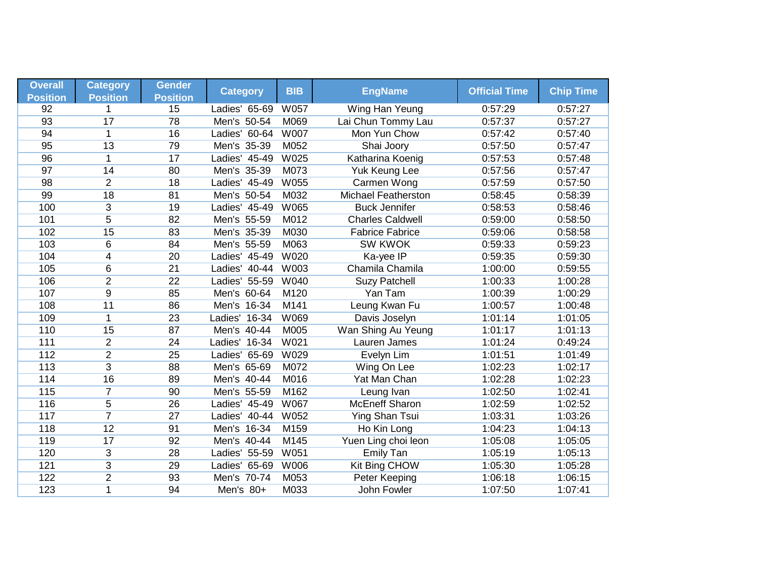| <b>Overall</b>  | <b>Category</b> | <b>Gender</b>   |                  | <b>BIB</b>  | <b>EngName</b>             | <b>Official Time</b> | <b>Chip Time</b> |
|-----------------|-----------------|-----------------|------------------|-------------|----------------------------|----------------------|------------------|
| <b>Position</b> | <b>Position</b> | <b>Position</b> | <b>Category</b>  |             |                            |                      |                  |
| 92              | 1               | 15              | Ladies' 65-69    | W057        | Wing Han Yeung             | 0:57:29              | 0:57:27          |
| 93              | 17              | 78              | Men's 50-54      | M069        | Lai Chun Tommy Lau         | 0:57:37              | 0:57:27          |
| 94              | $\mathbf{1}$    | 16              | Ladies' 60-64    | <b>W007</b> | Mon Yun Chow               | 0:57:42              | 0:57:40          |
| 95              | 13              | 79              | Men's 35-39      | M052        | Shai Joory                 | 0:57:50              | 0:57:47          |
| 96              | 1               | 17              | Ladies' 45-49    | W025        | Katharina Koenig           | 0:57:53              | 0:57:48          |
| 97              | 14              | 80              | Men's 35-39      | M073        | Yuk Keung Lee              | 0:57:56              | 0:57:47          |
| 98              | $\overline{2}$  | 18              | Ladies' 45-49    | <b>W055</b> | Carmen Wong                | 0:57:59              | 0:57:50          |
| 99              | 18              | 81              | Men's 50-54      | M032        | <b>Michael Featherston</b> | 0:58:45              | 0:58:39          |
| 100             | 3               | 19              | Ladies' 45-49    | W065        | <b>Buck Jennifer</b>       | 0:58:53              | 0:58:46          |
| 101             | $\overline{5}$  | 82              | Men's 55-59      | M012        | <b>Charles Caldwell</b>    | 0:59:00              | 0:58:50          |
| 102             | 15              | 83              | Men's 35-39      | M030        | <b>Fabrice Fabrice</b>     | 0:59:06              | 0:58:58          |
| 103             | 6               | 84              | Men's 55-59      | M063        | <b>SW KWOK</b>             | 0:59:33              | 0:59:23          |
| 104             | $\overline{4}$  | 20              | Ladies' 45-49    | W020        | Ka-yee IP                  | 0:59:35              | 0:59:30          |
| 105             | 6               | $\overline{21}$ | Ladies' 40-44    | W003        | Chamila Chamila            | 1:00:00              | 0:59:55          |
| 106             | $\overline{2}$  | 22              | Ladies' 55-59    | <b>W040</b> | <b>Suzy Patchell</b>       | 1:00:33              | 1:00:28          |
| 107             | $\overline{9}$  | 85              | Men's 60-64      | M120        | Yan Tam                    | 1:00:39              | 1:00:29          |
| 108             | 11              | 86              | Men's 16-34      | M141        | Leung Kwan Fu              | 1:00:57              | 1:00:48          |
| 109             | $\mathbf{1}$    | 23              | Ladies'<br>16-34 | W069        | Davis Joselyn              | 1:01:14              | 1:01:05          |
| 110             | 15              | 87              | Men's 40-44      | M005        | Wan Shing Au Yeung         | 1:01:17              | 1:01:13          |
| 111             | $\overline{2}$  | 24              | Ladies' 16-34    | W021        | Lauren James               | 1:01:24              | 0:49:24          |
| 112             | $\overline{2}$  | 25              | Ladies' 65-69    | W029        | Evelyn Lim                 | 1:01:51              | 1:01:49          |
| 113             | $\overline{3}$  | 88              | Men's 65-69      | M072        | Wing On Lee                | 1:02:23              | 1:02:17          |
| 114             | 16              | 89              | Men's 40-44      | M016        | Yat Man Chan               | 1:02:28              | 1:02:23          |
| 115             | $\overline{7}$  | 90              | Men's 55-59      | M162        | Leung Ivan                 | 1:02:50              | 1:02:41          |
| 116             | 5               | 26              | Ladies' 45-49    | W067        | <b>McEneff Sharon</b>      | 1:02:59              | 1:02:52          |
| 117             | $\overline{7}$  | $\overline{27}$ | Ladies' 40-44    | W052        | Ying Shan Tsui             | 1:03:31              | 1:03:26          |
| 118             | 12              | 91              | Men's 16-34      | M159        | Ho Kin Long                | 1:04:23              | 1:04:13          |
| 119             | 17              | 92              | Men's 40-44      | M145        | Yuen Ling choi leon        | 1:05:08              | 1:05:05          |
| 120             | 3               | 28              | Ladies' 55-59    | W051        | <b>Emily Tan</b>           | 1:05:19              | 1:05:13          |
| 121             | $\overline{3}$  | 29              | Ladies' 65-69    | <b>W006</b> | Kit Bing CHOW              | 1:05:30              | 1:05:28          |
| 122             | $\overline{2}$  | 93              | Men's 70-74      | M053        | Peter Keeping              | 1:06:18              | 1:06:15          |
| 123             | 1               | 94              | Men's 80+        | M033        | John Fowler                | 1:07:50              | 1:07:41          |